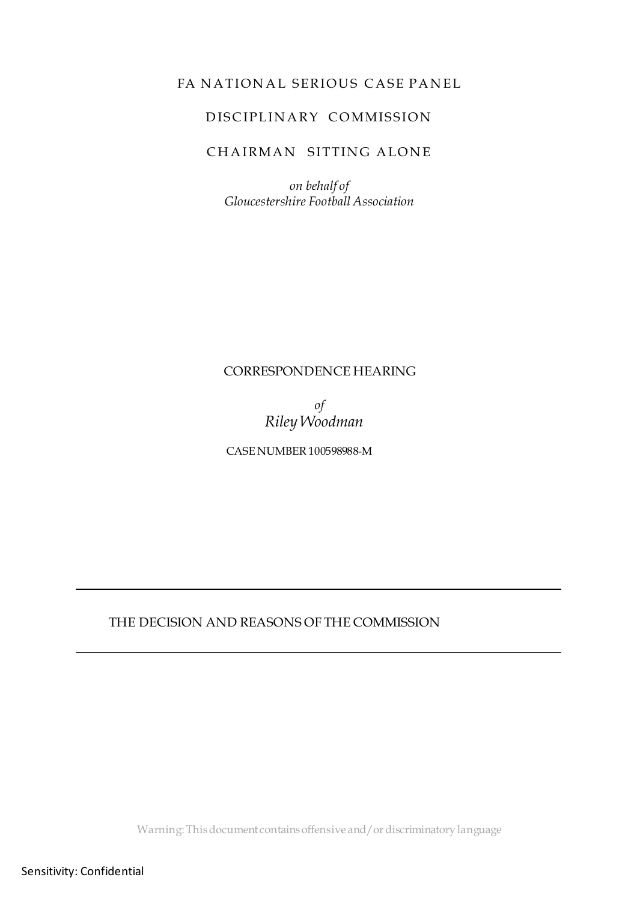## FA NATIONAL SERIOUS CASE PANEL

### DISCIPLINARY COMMISSION

# CHAIRMAN SITTING ALONE

*on behalf of Gloucestershire Football Association*

#### CORRESPONDENCE HEARING

*of Riley Woodman*

CASE NUMBER 100598988-M

#### THE DECISION AND REASONS OF THE COMMISSION

Warning: This document contains offensive and/or discriminatory language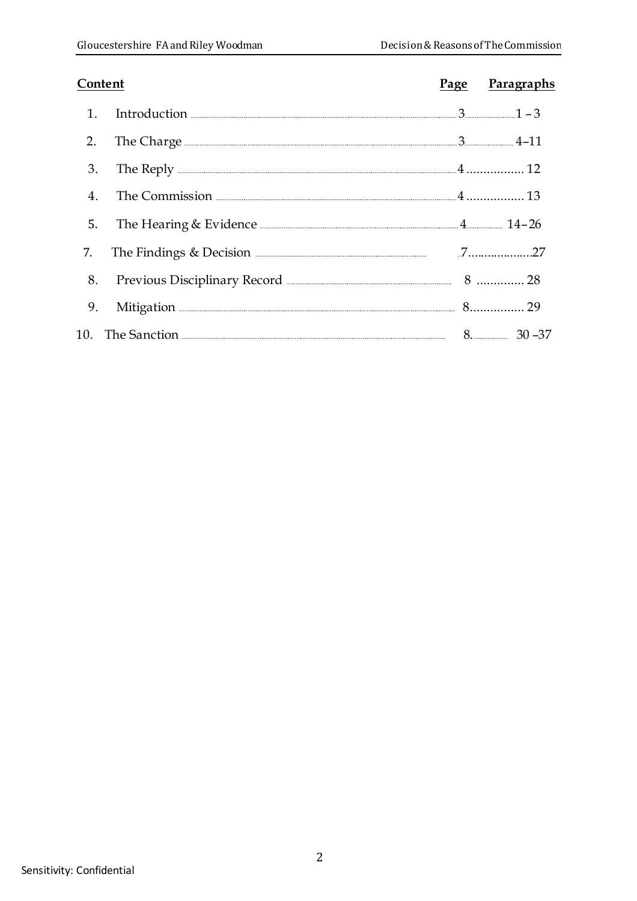| Content |                                                                                                                                                                                                                                      | Page Paragraphs |
|---------|--------------------------------------------------------------------------------------------------------------------------------------------------------------------------------------------------------------------------------------|-----------------|
|         | 1. Introduction $1-3$                                                                                                                                                                                                                |                 |
| 2.      | The Charge <u>2008 and 2008 and 2008 and 2008 and 2008 and 2008 and 2008 and 2008 and 2008 and 2008 and 2008 and 2008 and 2008 and 2008 and 2008 and 2008 and 2008 and 2008 and 2008 and 2008 and 2008 and 2008 and 2008 and 200</u> |                 |
| 3.      | The Reply <b>22 and 24</b> and 22 and 22 and 22 and 22 and 22 and 22 and 22 and 22 and 22 and 22 and 22 and 22 and 22 and 22 and 22 and 22 and 22 and 22 and 22 and 22 and 22 and 22 and 22 and 22 and 22 and 22 and 22 and 22 and   |                 |
| 4.      |                                                                                                                                                                                                                                      |                 |
| 5.      | The Hearing & Evidence 2008 and 2008 and 2010 and 2010 and 2010 and 2010 and 2010 and 2010 and 2010 and 2010 and 2010 and 2010 and 2010 and 2010 and 2010 and 2010 and 2010 and 2010 and 2010 and 2010 and 2010 and 2010 and 2       |                 |
|         | 7. The Findings & Decision <b>Election</b> 27                                                                                                                                                                                        |                 |
|         |                                                                                                                                                                                                                                      |                 |
| 9.      | Mitigation 29                                                                                                                                                                                                                        |                 |
|         |                                                                                                                                                                                                                                      |                 |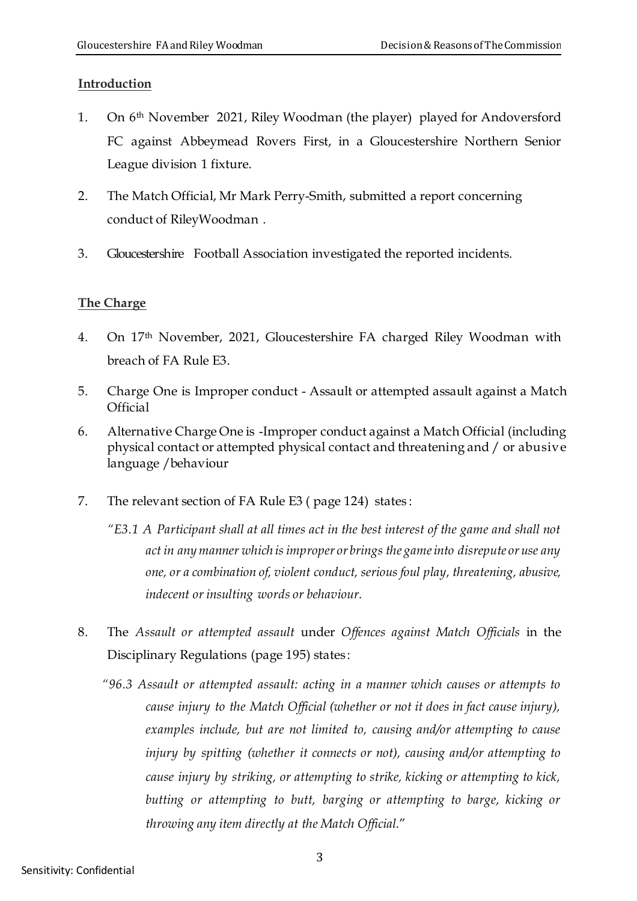## **Introduction**

- 1. On 6 th November 2021, Riley Woodman (the player) played for Andoversford FC against Abbeymead Rovers First, in a Gloucestershire Northern Senior League division 1 fixture.
- 2. The Match Official, Mr Mark Perry-Smith, submitted a report concerning conduct of RileyWoodman .
- 3. Gloucestershire Football Association investigated the reported incidents.

# **The Charge**

- 4. On 17 th November, 2021, Gloucestershire FA charged Riley Woodman with breach of FA Rule E3.
- 5. Charge One is Improper conduct Assault or attempted assault against a Match **Official**
- 6. Alternative Charge One is -Improper conduct against a Match Official (including physical contact or attempted physical contact and threatening and / or abusive language /behaviour
- 7. The relevant section of FA Rule E3 ( page 124) states :
	- *"E3.1 A Participant shall at all times act in the best interest of the game and shall not act in any manner which is improper or brings the gameinto disrepute or use any one, or a combination of, violent conduct, serious foul play, threatening, abusive, indecent or insulting words or behaviour.*
- 8. The *Assault or attempted assault* under *Offences against Match Officials* in the Disciplinary Regulations (page 195) states :
	- *"96.3 Assault or attempted assault: acting in a manner which causes or attempts to cause injury to the Match Official (whether or not it does in fact cause injury), examples include, but are not limited to, causing and/or attempting to cause injury by spitting (whether it connects or not), causing and/or attempting to cause injury by striking, or attempting to strike, kicking or attempting to kick, butting or attempting to butt, barging or attempting to barge, kicking or throwing any item directly at the Match Official.*"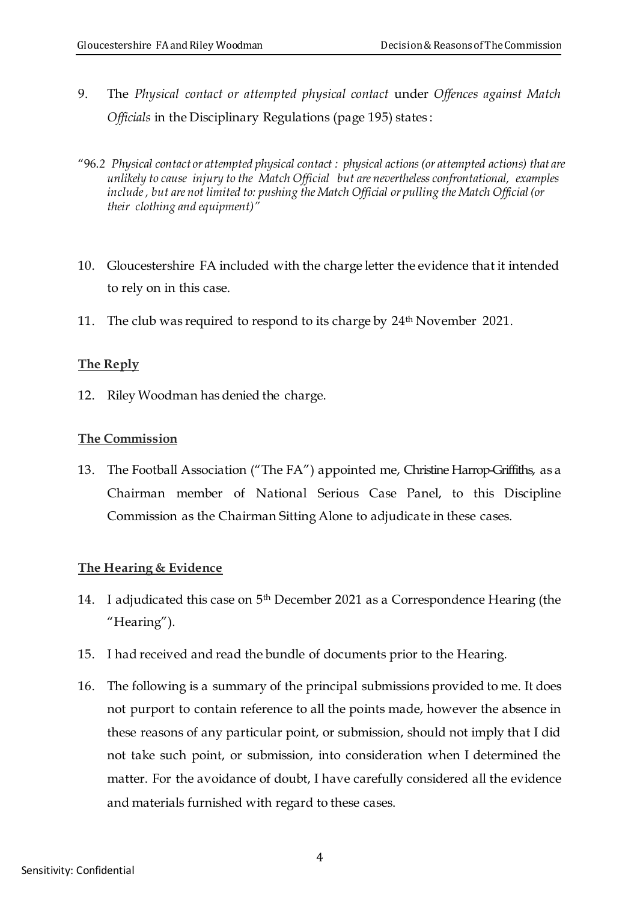- 9. The *Physical contact or attempted physical contact* under *Offences against Match Officials* in the Disciplinary Regulations (page 195) states :
- "96.*2 Physical contact or attempted physical contact : physical actions (or attempted actions) that are unlikely to cause injury to the Match Official but are nevertheless confrontational, examples include , but are not limited to: pushing the Match Official or pulling the Match Official (or their clothing and equipment)"*
- 10. Gloucestershire FA included with the charge letter the evidence that it intended to rely on in this case.
- 11. The club was required to respond to its charge by  $24^{\text{th}}$  November 2021.

### **The Reply**

12. Riley Woodman has denied the charge.

### **The Commission**

13. The Football Association ("The FA") appointed me, Christine Harrop-Griffiths, as a Chairman member of National Serious Case Panel, to this Discipline Commission as the Chairman Sitting Alone to adjudicate in these cases.

## **The Hearing & Evidence**

- 14. I adjudicated this case on  $5<sup>th</sup>$  December 2021 as a Correspondence Hearing (the "Hearing").
- 15. I had received and read the bundle of documents prior to the Hearing.
- 16. The following is a summary of the principal submissions provided to me. It does not purport to contain reference to all the points made, however the absence in these reasons of any particular point, or submission, should not imply that I did not take such point, or submission, into consideration when I determined the matter. For the avoidance of doubt, I have carefully considered all the evidence and materials furnished with regard to these cases.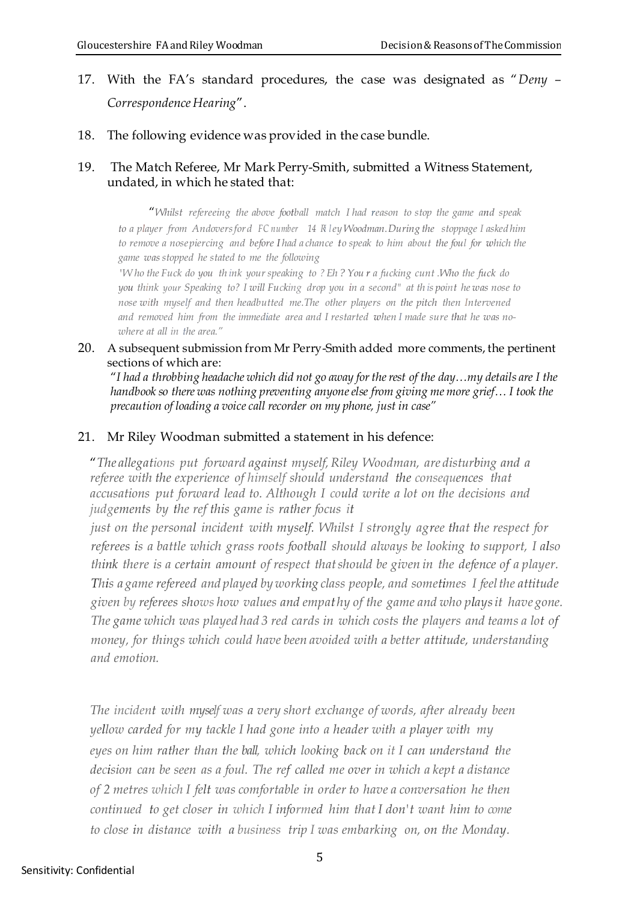- 17. With the FA's standard procedures, the case was designated as "*Deny – Correspondence Hearing*".
- 18. The following evidence was provided in the case bundle.

### 19. The Match Referee, Mr Mark Perry-Smith, submitted a Witness Statement, undated, in which he stated that:

"*Whilst refereeing the above football match I had reason to stop the game and speak to a player from Andoversford FC number 14 Ri ley Woodman.During the stoppage I asked him* to remove a nosepiercing and before Ihad a chance to speak to him about the foul for which the *game was stopped he stated to me the following*

'Who the Fuck do you think your speaking to ? Eh? You r a fucking cunt. Who the fuck do *you think your Speaking to? I will Fucking drop you in a second" at th is point he was nose to nose with myself and then headbutted me.The other players on the pitch then Intervened and removed him from the immediate area and I restarted when I made sure that he was nowhere at all in the area."*

#### 20. A subsequent submission from Mr Perry-Smith added more comments, the pertinent sections of which are:

"*I had a throbbing headache which did not go away for the rest of the day…my details are I the handbook so there was nothing preventing anyone else from giving me more grief… I took the precaution of loading a voice call recorder on my phone, just in case"*

### 21. Mr Riley Woodman submitted a statement in his defence:

"*The allegations put forward against myself,Riley Woodman, are disturbing and a referee with the experience of himself should understand the consequences that accusations put forward lead to. Although I could write a lot on the decisions and judgements by the ref this game is rather focus it*

*just on the personal incident with myself. Whilst I strongly agree that the respect for referees is a battle which grass roots football should always be looking to support, I also think there is a certain amount of respect thatshould be given in the defence of a player. This a game refereed and played by working class people, and sometimes I feelthe attitude given by referees shows how values and empat hy of the game and who playsit have gone. The game which was played had 3 red cards in which costs the players and teams a lot of money, for things which could have been avoided with a better attitude, understanding and emotion.*

*The incident with myself was a very short exchange of words, after already been yellow carded for my tackle I had gone into a header with a player with my eyes on him rather than the ball, which looking back on it I can understand the decision can be seen as a foul. The ref called me over in which a kept a distance of 2 metres which I felt was comfortable in order to have a conversation he then continued to get closer in which I informed him that I don't want him to come to close in distance with a business trip I was embarking on, on the Monday.*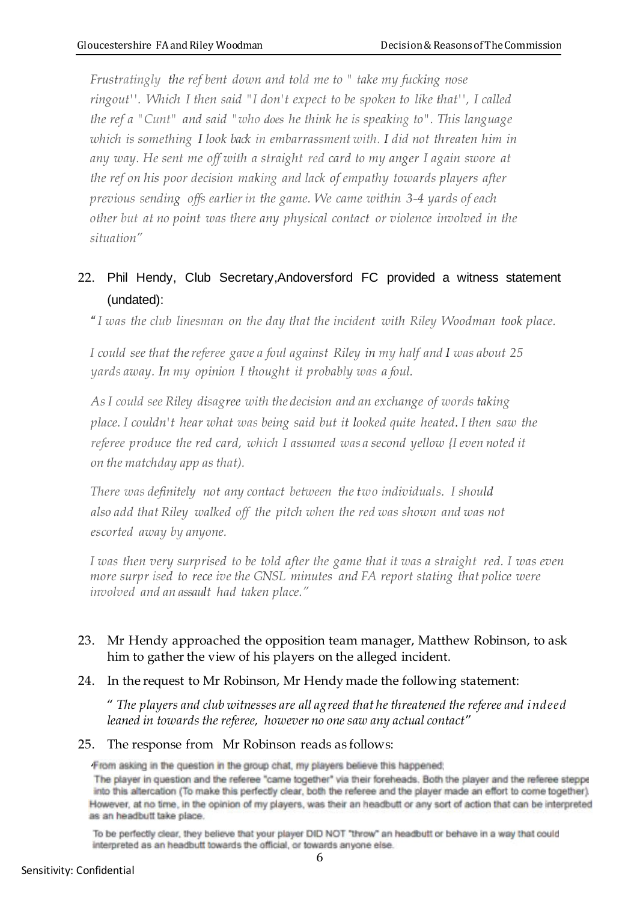*Frustratingly the ref bent down and told me to " take my fucking nose ringout''. Which I then said "I don't expect to be spoken to like that'', I called the ref a "Cunt" and said "who does he think he is speaking to". This language*  which is something I look back in embarrassment with. I did not threaten him in *any way. He sent me off with a straight red card to my anger I again swore at the ref on his poor decision making and lack of empathy towards players after previous sending offs earlier in the game. We came within 3-4 yards of each other but at no point was there any physical contact or violence involved in the situation"*

# 22. Phil Hendy, Club Secretary,Andoversford FC provided a witness statement (undated):

*" I was the club linesman on the day that the incident with Riley Woodman took place.*

*I could see that thereferee gave a foul against Riley in my half and I was about 25 yards away. In my opinion I thought it probably was a foul.*

*As I could see Riley disagree with the decision and an exchange of words taking place. I couldn't hear what was being said but it looked quite heated. I then saw the referee produce the red card, which I assumed was a second yellow {I even noted it on the matchday app as that).*

*There was definitely not any contact between the two individuals. I should also add that Riley walked off the pitch when the red was shown and was not escorted away by anyone.*

*I was then very surprised to be told after the game that it was a straight red. I was even more surpr ised to rece ive the GNSL minutes and FA report stating that police were involved and an assault had taken place."*

## 23. Mr Hendy approached the opposition team manager, Matthew Robinson, to ask him to gather the view of his players on the alleged incident.

24. In the request to Mr Robinson, Mr Hendy made the following statement:

" *The players and club witnesses are all agreed that he threatened the referee and indeed leaned in towards the referee, however no one saw any actual contact*"

#### 25. The response from Mr Robinson reads as follows:

From asking in the question in the group chat, my players believe this happened;<br>The player in question and the referee "came together" via their foreheads. Both the player and the referee steppe into this altercation (To make this perfectly clear, both the referee and the player made an effort to come together). However, at no time, in the opinion of my players, was their an headbutt or any sort of action that can be interpreted as an headbutt take place.

To be perfectly clear, they believe that your player DID NOT "throw" an headbutt or behave in a way that could interpreted as an headbutt towards the official, or towards anyone else.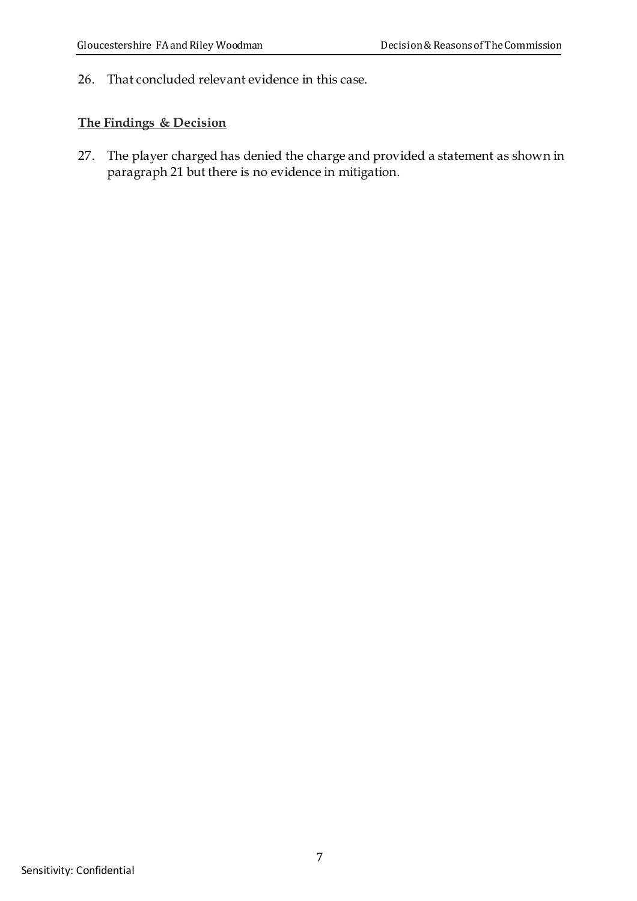26. That concluded relevant evidence in this case.

## **The Findings & Decision**

27. The player charged has denied the charge and provided a statement as shown in paragraph 21 but there is no evidence in mitigation.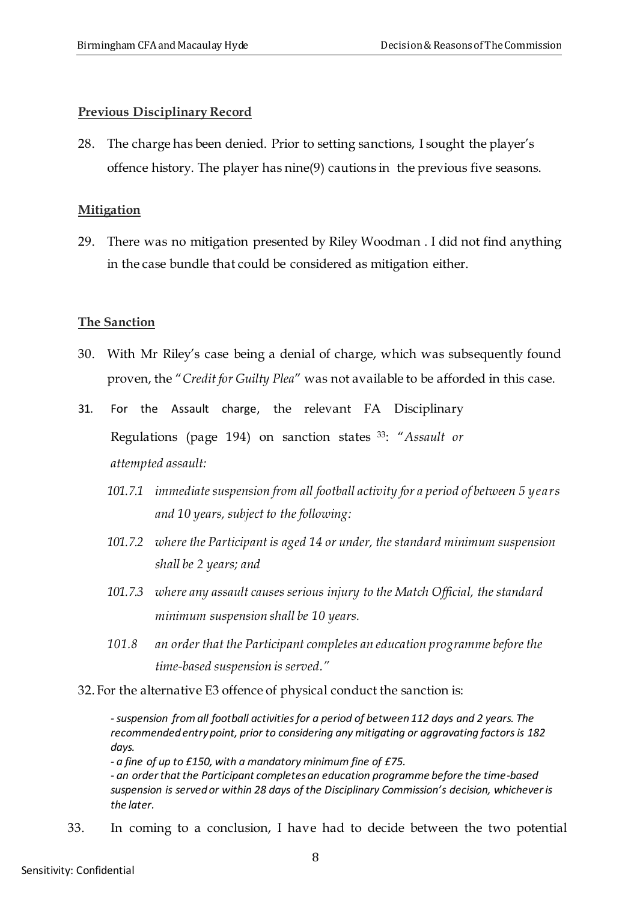#### **Previous Disciplinary Record**

28. The charge has been denied. Prior to setting sanctions, I sought the player's offence history. The player has nine(9) cautions in the previous five seasons.

#### **Mitigation**

29. There was no mitigation presented by Riley Woodman . I did not find anything in the case bundle that could be considered as mitigation either.

#### **The Sanction**

- 30. With Mr Riley's case being a denial of charge, which was subsequently found proven, the "*Credit for Guilty Plea*" was not available to be afforded in this case.
- 31. For the Assault charge, the relevant FA Disciplinary Regulations (page 194) on sanction states <sup>33</sup>: "*Assault or attempted assault:*
	- *101.7.1 immediate suspension from all football activity for a period of between 5 years and 10 years, subject to the following:*
	- *101.7.2 where the Participant is aged 14 or under, the standard minimum suspension shall be 2 years; and*
	- *101.7.3 where any assault causes serious injury to the Match Official, the standard minimum suspension shall be 10 years.*
	- *101.8 an order that the Participant completes an education programme before the time-based suspension is served."*

32. For the alternative E3 offence of physical conduct the sanction is:

*-suspension fromall football activities for a period of between 112 days and 2 years. The recommended entry point, prior to considering any mitigating or aggravating factors is 182 days.*

*- a fine of up to £150, with a mandatory minimum fine of £75.*

*- an order that the Participant completes an education programme before the time-based suspension is served or within 28 days of the Disciplinary Commission's decision, whichever is the later.*

33. In coming to a conclusion, I have had to decide between the two potential